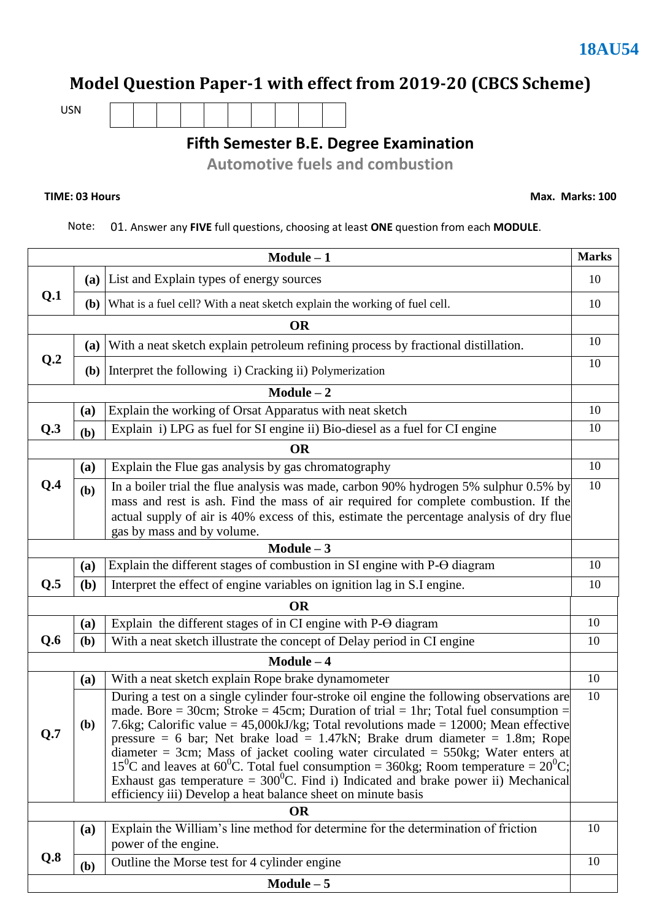# **Model Question Paper-1 with effect from 2019-20 (CBCS Scheme)**

USN

**Fifth Semester B.E. Degree Examination**

**Automotive fuels and combustion** 

#### **TIME: 03 Hours**

**Max. Marks: 100**

#### Note: 01. Answer any **FIVE** full questions, choosing at least **ONE** question from each **MODULE**.

| $Module - 1$ |                                                                                                                        |                                                                                                                                                                                                                                                                                                                                                                                                                                                                                                                                                                                                                                                                                                                                              |    |  |  |  |
|--------------|------------------------------------------------------------------------------------------------------------------------|----------------------------------------------------------------------------------------------------------------------------------------------------------------------------------------------------------------------------------------------------------------------------------------------------------------------------------------------------------------------------------------------------------------------------------------------------------------------------------------------------------------------------------------------------------------------------------------------------------------------------------------------------------------------------------------------------------------------------------------------|----|--|--|--|
|              |                                                                                                                        | (a) List and Explain types of energy sources                                                                                                                                                                                                                                                                                                                                                                                                                                                                                                                                                                                                                                                                                                 | 10 |  |  |  |
| Q.1          |                                                                                                                        | (b) What is a fuel cell? With a neat sketch explain the working of fuel cell.                                                                                                                                                                                                                                                                                                                                                                                                                                                                                                                                                                                                                                                                |    |  |  |  |
|              |                                                                                                                        | <b>OR</b>                                                                                                                                                                                                                                                                                                                                                                                                                                                                                                                                                                                                                                                                                                                                    |    |  |  |  |
|              | (a)                                                                                                                    | With a neat sketch explain petroleum refining process by fractional distillation.                                                                                                                                                                                                                                                                                                                                                                                                                                                                                                                                                                                                                                                            | 10 |  |  |  |
| Q.2          |                                                                                                                        | (b) Interpret the following $i$ ) Cracking ii) Polymerization                                                                                                                                                                                                                                                                                                                                                                                                                                                                                                                                                                                                                                                                                | 10 |  |  |  |
|              |                                                                                                                        | $Module - 2$                                                                                                                                                                                                                                                                                                                                                                                                                                                                                                                                                                                                                                                                                                                                 |    |  |  |  |
|              | (a)                                                                                                                    | Explain the working of Orsat Apparatus with neat sketch                                                                                                                                                                                                                                                                                                                                                                                                                                                                                                                                                                                                                                                                                      | 10 |  |  |  |
| Q.3          | (b)                                                                                                                    | Explain i) LPG as fuel for SI engine ii) Bio-diesel as a fuel for CI engine                                                                                                                                                                                                                                                                                                                                                                                                                                                                                                                                                                                                                                                                  | 10 |  |  |  |
|              |                                                                                                                        | <b>OR</b>                                                                                                                                                                                                                                                                                                                                                                                                                                                                                                                                                                                                                                                                                                                                    |    |  |  |  |
|              | (a)                                                                                                                    | Explain the Flue gas analysis by gas chromatography                                                                                                                                                                                                                                                                                                                                                                                                                                                                                                                                                                                                                                                                                          | 10 |  |  |  |
| Q.4          | (b)                                                                                                                    | In a boiler trial the flue analysis was made, carbon 90% hydrogen 5% sulphur 0.5% by                                                                                                                                                                                                                                                                                                                                                                                                                                                                                                                                                                                                                                                         | 10 |  |  |  |
|              |                                                                                                                        | mass and rest is ash. Find the mass of air required for complete combustion. If the                                                                                                                                                                                                                                                                                                                                                                                                                                                                                                                                                                                                                                                          |    |  |  |  |
|              | actual supply of air is 40% excess of this, estimate the percentage analysis of dry flue<br>gas by mass and by volume. |                                                                                                                                                                                                                                                                                                                                                                                                                                                                                                                                                                                                                                                                                                                                              |    |  |  |  |
|              |                                                                                                                        | Module $-3$                                                                                                                                                                                                                                                                                                                                                                                                                                                                                                                                                                                                                                                                                                                                  |    |  |  |  |
|              | (a)                                                                                                                    | Explain the different stages of combustion in SI engine with P-O diagram                                                                                                                                                                                                                                                                                                                                                                                                                                                                                                                                                                                                                                                                     | 10 |  |  |  |
| Q.5          | ( <b>b</b> )                                                                                                           | Interpret the effect of engine variables on ignition lag in S.I engine.                                                                                                                                                                                                                                                                                                                                                                                                                                                                                                                                                                                                                                                                      | 10 |  |  |  |
|              |                                                                                                                        | <b>OR</b>                                                                                                                                                                                                                                                                                                                                                                                                                                                                                                                                                                                                                                                                                                                                    |    |  |  |  |
|              | (a)                                                                                                                    | Explain the different stages of in CI engine with P-O diagram                                                                                                                                                                                                                                                                                                                                                                                                                                                                                                                                                                                                                                                                                | 10 |  |  |  |
| Q.6          | (b)                                                                                                                    | With a neat sketch illustrate the concept of Delay period in CI engine                                                                                                                                                                                                                                                                                                                                                                                                                                                                                                                                                                                                                                                                       | 10 |  |  |  |
|              |                                                                                                                        | $Module - 4$                                                                                                                                                                                                                                                                                                                                                                                                                                                                                                                                                                                                                                                                                                                                 |    |  |  |  |
|              | (a)                                                                                                                    | With a neat sketch explain Rope brake dynamometer                                                                                                                                                                                                                                                                                                                                                                                                                                                                                                                                                                                                                                                                                            | 10 |  |  |  |
| Q.7          | <b>(b)</b>                                                                                                             | During a test on a single cylinder four-stroke oil engine the following observations are<br>made. Bore = 30cm; Stroke = 45cm; Duration of trial = 1hr; Total fuel consumption =<br>7.6kg; Calorific value = $45,000kJ/kg$ ; Total revolutions made = 12000; Mean effective<br>pressure = 6 bar; Net brake load = $1.47kN$ ; Brake drum diameter = 1.8m; Rope<br>diameter = 3cm; Mass of jacket cooling water circulated = $550\text{kg}$ ; Water enters at<br>15 <sup>0</sup> C and leaves at 60 <sup>0</sup> C. Total fuel consumption = 360kg; Room temperature = $20^{\circ}$ C;<br>Exhaust gas temperature = $300^0$ C. Find i) Indicated and brake power ii) Mechanical<br>efficiency iii) Develop a heat balance sheet on minute basis | 10 |  |  |  |
| <b>OR</b>    |                                                                                                                        |                                                                                                                                                                                                                                                                                                                                                                                                                                                                                                                                                                                                                                                                                                                                              |    |  |  |  |
|              | (a)                                                                                                                    | Explain the William's line method for determine for the determination of friction<br>power of the engine.                                                                                                                                                                                                                                                                                                                                                                                                                                                                                                                                                                                                                                    | 10 |  |  |  |
| Q.8          | (b)                                                                                                                    | Outline the Morse test for 4 cylinder engine                                                                                                                                                                                                                                                                                                                                                                                                                                                                                                                                                                                                                                                                                                 | 10 |  |  |  |
|              |                                                                                                                        | $Module - 5$                                                                                                                                                                                                                                                                                                                                                                                                                                                                                                                                                                                                                                                                                                                                 |    |  |  |  |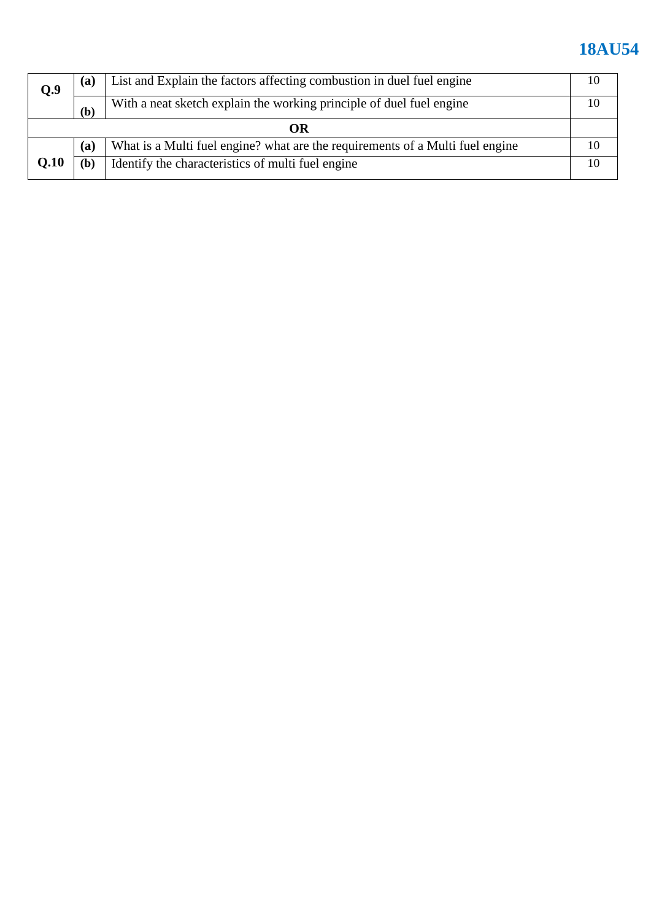| Q.9  | (a) | List and Explain the factors affecting combustion in duel fuel engine         |  |  |
|------|-----|-------------------------------------------------------------------------------|--|--|
|      | (b) | With a neat sketch explain the working principle of duel fuel engine          |  |  |
| OR   |     |                                                                               |  |  |
|      | (a) | What is a Multi fuel engine? what are the requirements of a Multi fuel engine |  |  |
| Q.10 | (b) | Identify the characteristics of multi fuel engine                             |  |  |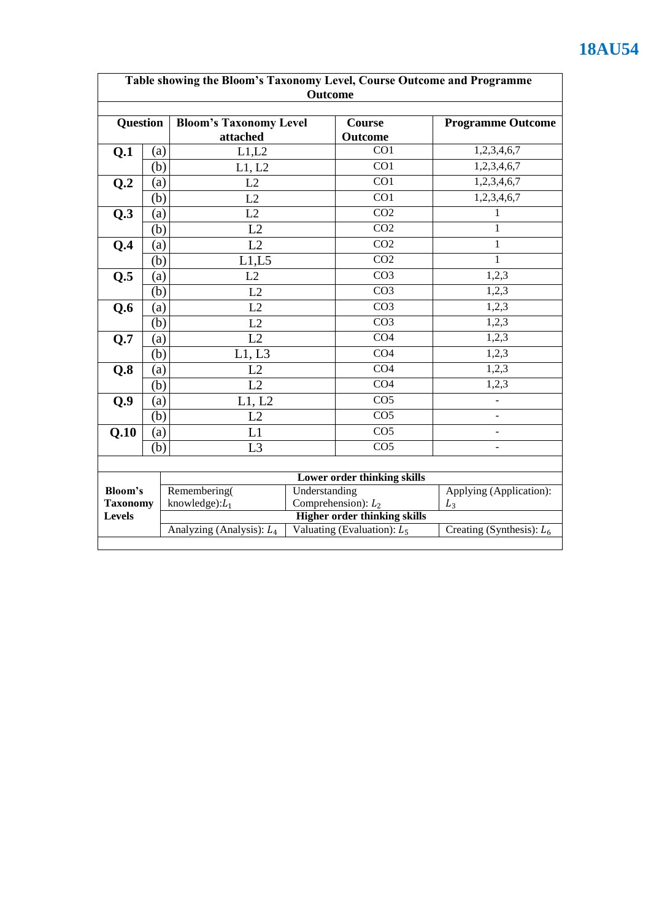| Table showing the Bloom's Taxonomy Level, Course Outcome and Programme |     |                                                     |                                                                      |                             |                              |
|------------------------------------------------------------------------|-----|-----------------------------------------------------|----------------------------------------------------------------------|-----------------------------|------------------------------|
| <b>Outcome</b>                                                         |     |                                                     |                                                                      |                             |                              |
| <b>Question</b>                                                        |     | <b>Bloom's Taxonomy Level</b><br>attached           |                                                                      | <b>Course</b><br>Outcome    | <b>Programme Outcome</b>     |
| Q.1                                                                    | (a) | L1,L2                                               |                                                                      | CO <sub>1</sub>             | 1,2,3,4,6,7                  |
|                                                                        | (b) | L1, L2                                              |                                                                      | CO1                         | 1,2,3,4,6,7                  |
| Q.2                                                                    | (a) | L2                                                  |                                                                      | CO1                         | 1,2,3,4,6,7                  |
|                                                                        | (b) | L2                                                  |                                                                      | $\overline{CO1}$            | 1,2,3,4,6,7                  |
| Q.3                                                                    | (a) | L2                                                  |                                                                      | CO <sub>2</sub>             | 1                            |
|                                                                        | (b) | L2                                                  |                                                                      | CO <sub>2</sub>             | 1                            |
| Q.4                                                                    | (a) | L2                                                  |                                                                      | CO <sub>2</sub>             | 1                            |
|                                                                        | (b) | L1,L5                                               |                                                                      | CO <sub>2</sub>             | $\mathbf{1}$                 |
| Q.5                                                                    | (a) | L2                                                  |                                                                      | $\overline{CO3}$            | 1,2,3                        |
|                                                                        | (b) | L2                                                  |                                                                      | CO <sub>3</sub>             | 1,2,3                        |
| Q.6                                                                    | (a) | L2                                                  |                                                                      | CO <sub>3</sub>             | 1,2,3                        |
|                                                                        | (b) | L2                                                  |                                                                      | $\overline{CO3}$            | 1,2,3                        |
| Q.7                                                                    | (a) | L2                                                  |                                                                      | $\overline{CO4}$            | 1,2,3                        |
|                                                                        | (b) | L1, L3                                              |                                                                      | CO <sub>4</sub>             | 1,2,3                        |
| Q.8                                                                    | (a) | L2                                                  |                                                                      | $\overline{CO4}$            | 1,2,3                        |
|                                                                        | (b) | L2                                                  |                                                                      | CO <sub>4</sub>             | 1,2,3                        |
| Q.9                                                                    | (a) | L1, L2                                              |                                                                      | CO <sub>5</sub>             | $\qquad \qquad \blacksquare$ |
|                                                                        | (b) | L2                                                  |                                                                      | CO <sub>5</sub>             | $\blacksquare$               |
| Q.10                                                                   | (a) | L1                                                  |                                                                      | CO <sub>5</sub>             | $\blacksquare$               |
|                                                                        | (b) | L <sub>3</sub>                                      |                                                                      | $\overline{CO5}$            | ÷,                           |
|                                                                        |     |                                                     |                                                                      |                             |                              |
|                                                                        |     |                                                     |                                                                      | Lower order thinking skills |                              |
| <b>Bloom's</b>                                                         |     | Remembering(<br>Understanding                       |                                                                      |                             | Applying (Application):      |
| <b>Taxonomy</b>                                                        |     | Comprehension): $L_2$<br>knowledge): $L_1$<br>$L_3$ |                                                                      |                             |                              |
| <b>Levels</b>                                                          |     | Analyzing (Analysis): $L_4$                         | <b>Higher order thinking skills</b><br>Valuating (Evaluation): $L_5$ |                             | Creating (Synthesis): $L_6$  |
|                                                                        |     |                                                     |                                                                      |                             |                              |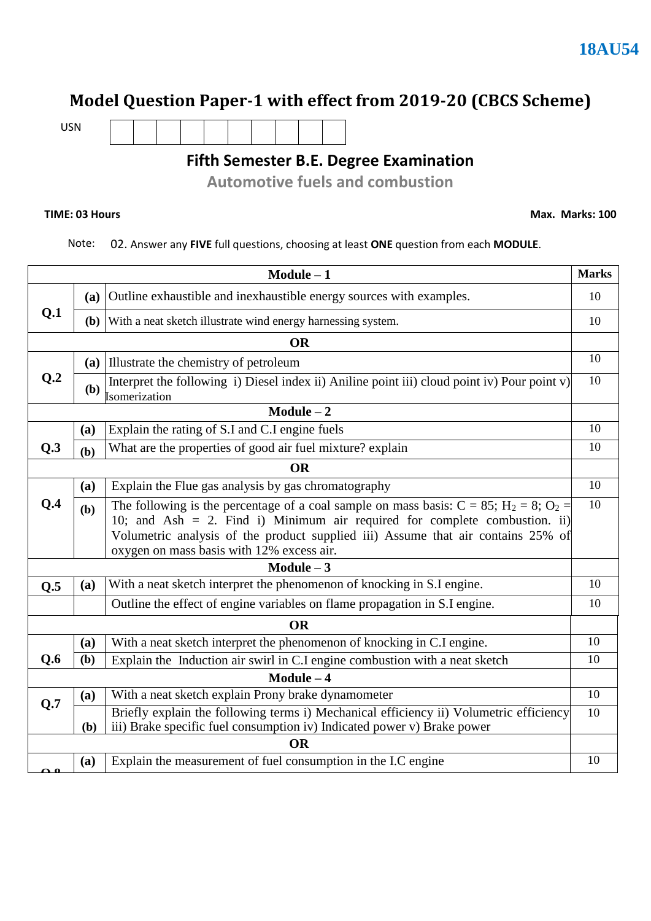### **Model Question Paper-1 with effect from 2019-20 (CBCS Scheme)**

USN

### **Fifth Semester B.E. Degree Examination**

**Automotive fuels and combustion** 

#### **TIME: 03 Hours**

**Max. Marks: 100**

Note: 02. Answer any **FIVE** full questions, choosing at least **ONE** question from each **MODULE**.

| $Module - 1$    |              |                                                                                                                                                                                                                                                                                                               |    |  |  |
|-----------------|--------------|---------------------------------------------------------------------------------------------------------------------------------------------------------------------------------------------------------------------------------------------------------------------------------------------------------------|----|--|--|
| Q.1             | (a)          | Outline exhaustible and inexhaustible energy sources with examples.                                                                                                                                                                                                                                           |    |  |  |
|                 |              | (b) With a neat sketch illustrate wind energy harnessing system.                                                                                                                                                                                                                                              | 10 |  |  |
|                 |              | <b>OR</b>                                                                                                                                                                                                                                                                                                     |    |  |  |
|                 |              | (a) Illustrate the chemistry of petroleum                                                                                                                                                                                                                                                                     | 10 |  |  |
| Q <sub>.2</sub> |              | Interpret the following i) Diesel index ii) Aniline point iii) cloud point iv) Pour point v)<br>$\left(\mathbf{b}\right)$ $\left \frac{1}{\text{Isomerization}}\right $                                                                                                                                       | 10 |  |  |
|                 |              | $Module - 2$                                                                                                                                                                                                                                                                                                  |    |  |  |
|                 | (a)          | Explain the rating of S.I and C.I engine fuels                                                                                                                                                                                                                                                                | 10 |  |  |
| Q.3             | (b)          | What are the properties of good air fuel mixture? explain                                                                                                                                                                                                                                                     | 10 |  |  |
|                 |              | <b>OR</b>                                                                                                                                                                                                                                                                                                     |    |  |  |
|                 | (a)          | Explain the Flue gas analysis by gas chromatography                                                                                                                                                                                                                                                           | 10 |  |  |
| Q.4             | (b)          | The following is the percentage of a coal sample on mass basis: $C = 85$ ; $H_2 = 8$ ; $O_2 =$<br>10; and Ash = 2. Find i) Minimum air required for complete combustion. ii)<br>Volumetric analysis of the product supplied iii) Assume that air contains 25% of<br>oxygen on mass basis with 12% excess air. | 10 |  |  |
|                 |              | $Module - 3$                                                                                                                                                                                                                                                                                                  |    |  |  |
| Q.5             | (a)          | With a neat sketch interpret the phenomenon of knocking in S.I engine.                                                                                                                                                                                                                                        | 10 |  |  |
|                 |              | Outline the effect of engine variables on flame propagation in S.I engine.                                                                                                                                                                                                                                    | 10 |  |  |
|                 |              | <b>OR</b>                                                                                                                                                                                                                                                                                                     |    |  |  |
|                 | (a)          | With a neat sketch interpret the phenomenon of knocking in C.I engine.                                                                                                                                                                                                                                        | 10 |  |  |
| Q.6             | (b)          | Explain the Induction air swirl in C.I engine combustion with a neat sketch                                                                                                                                                                                                                                   | 10 |  |  |
|                 | $Module - 4$ |                                                                                                                                                                                                                                                                                                               |    |  |  |
| Q.7             | (a)          | With a neat sketch explain Prony brake dynamometer                                                                                                                                                                                                                                                            | 10 |  |  |
|                 | (b)          | Briefly explain the following terms i) Mechanical efficiency ii) Volumetric efficiency<br>iii) Brake specific fuel consumption iv) Indicated power v) Brake power                                                                                                                                             | 10 |  |  |
|                 | <b>OR</b>    |                                                                                                                                                                                                                                                                                                               |    |  |  |
|                 | (a)          | Explain the measurement of fuel consumption in the I.C engine                                                                                                                                                                                                                                                 | 10 |  |  |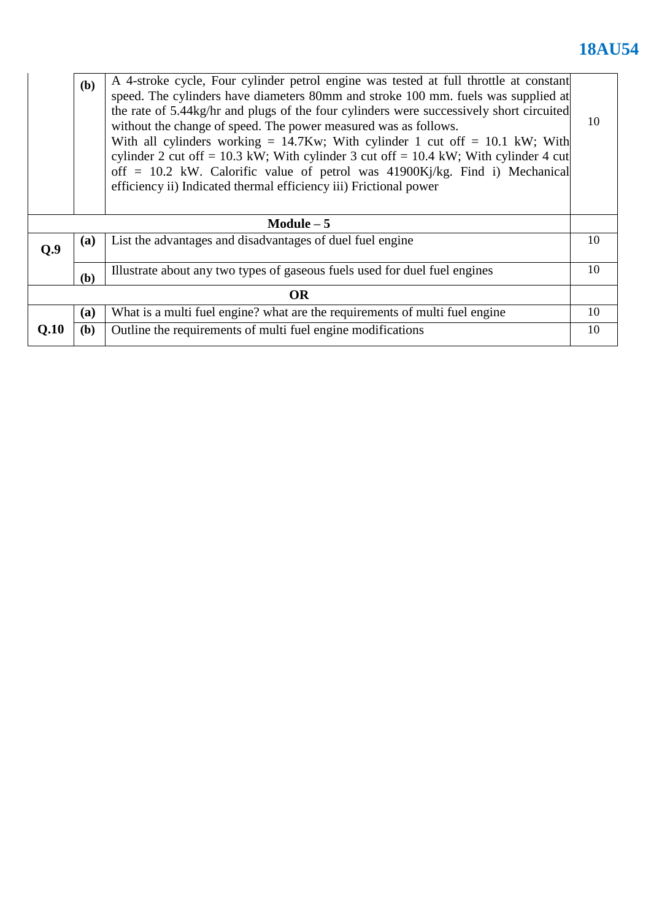|           | (b)         | A 4-stroke cycle, Four cylinder petrol engine was tested at full throttle at constant<br>speed. The cylinders have diameters 80mm and stroke 100 mm. fuels was supplied at<br>the rate of 5.44kg/hr and plugs of the four cylinders were successively short circuited<br>without the change of speed. The power measured was as follows.<br>With all cylinders working = $14.7Kw$ ; With cylinder 1 cut off = 10.1 kW; With<br>cylinder 2 cut off = 10.3 kW; With cylinder 3 cut off = 10.4 kW; With cylinder 4 cut<br>off = 10.2 kW. Calorific value of petrol was $41900Ki/kg$ . Find i) Mechanical<br>efficiency ii) Indicated thermal efficiency iii) Frictional power | 10 |  |  |
|-----------|-------------|----------------------------------------------------------------------------------------------------------------------------------------------------------------------------------------------------------------------------------------------------------------------------------------------------------------------------------------------------------------------------------------------------------------------------------------------------------------------------------------------------------------------------------------------------------------------------------------------------------------------------------------------------------------------------|----|--|--|
|           | Module $-5$ |                                                                                                                                                                                                                                                                                                                                                                                                                                                                                                                                                                                                                                                                            |    |  |  |
| Q.9       | <b>(a)</b>  | List the advantages and disadvantages of duel fuel engine                                                                                                                                                                                                                                                                                                                                                                                                                                                                                                                                                                                                                  | 10 |  |  |
|           | (b)         | Illustrate about any two types of gaseous fuels used for duel fuel engines                                                                                                                                                                                                                                                                                                                                                                                                                                                                                                                                                                                                 | 10 |  |  |
| <b>OR</b> |             |                                                                                                                                                                                                                                                                                                                                                                                                                                                                                                                                                                                                                                                                            |    |  |  |
|           | (a)         | What is a multi fuel engine? what are the requirements of multi fuel engine                                                                                                                                                                                                                                                                                                                                                                                                                                                                                                                                                                                                | 10 |  |  |
| Q.10      | (b)         | Outline the requirements of multi fuel engine modifications                                                                                                                                                                                                                                                                                                                                                                                                                                                                                                                                                                                                                | 10 |  |  |